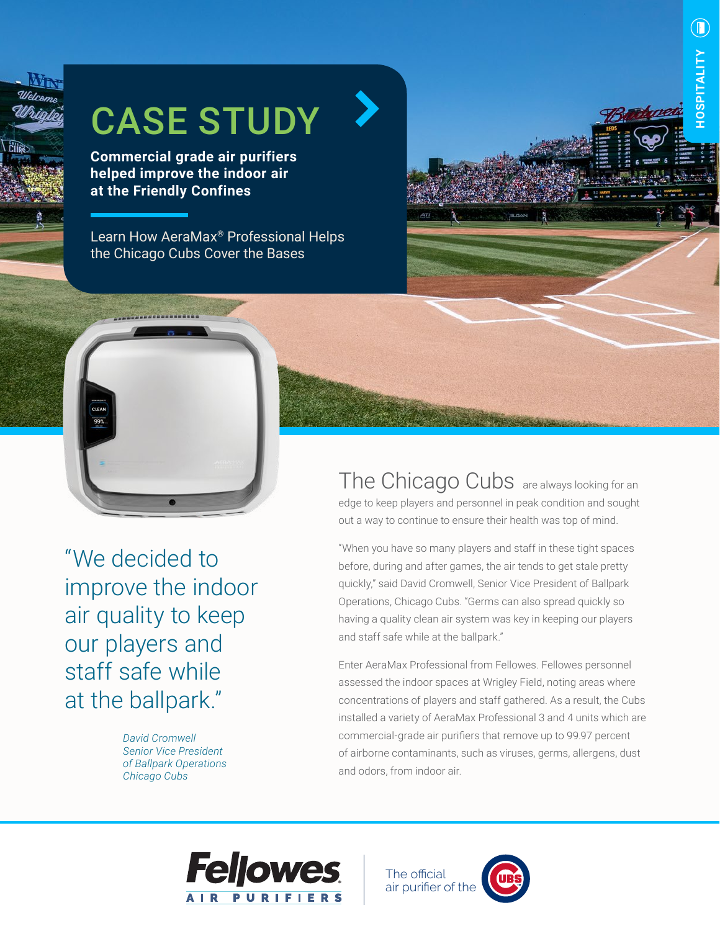

## CASE STUDY

**Commercial grade air purifiers helped improve the indoor air at the Friendly Confines**

Learn How AeraMax® Professional Helps the Chicago Cubs Cover the Bases

"We decided to improve the indoor air quality to keep our players and

99%

staff safe while at the ballpark."

> *David Cromwell Senior Vice President of Ballpark Operations Chicago Cubs*

The Chicago Cubs are always looking for an edge to keep players and personnel in peak condition and sought out a way to continue to ensure their health was top of mind.

**HOSPITALITY**

**OSPITALITY** 

 $\left(\bigcap\right)$ 

"When you have so many players and staff in these tight spaces before, during and after games, the air tends to get stale pretty quickly," said David Cromwell, Senior Vice President of Ballpark Operations, Chicago Cubs. "Germs can also spread quickly so having a quality clean air system was key in keeping our players and staff safe while at the ballpark."

Enter AeraMax Professional from Fellowes. Fellowes personnel assessed the indoor spaces at Wrigley Field, noting areas where concentrations of players and staff gathered. As a result, the Cubs installed a variety of AeraMax Professional 3 and 4 units which are commercial-grade air purifiers that remove up to 99.97 percent of airborne contaminants, such as viruses, germs, allergens, dust and odors, from indoor air.